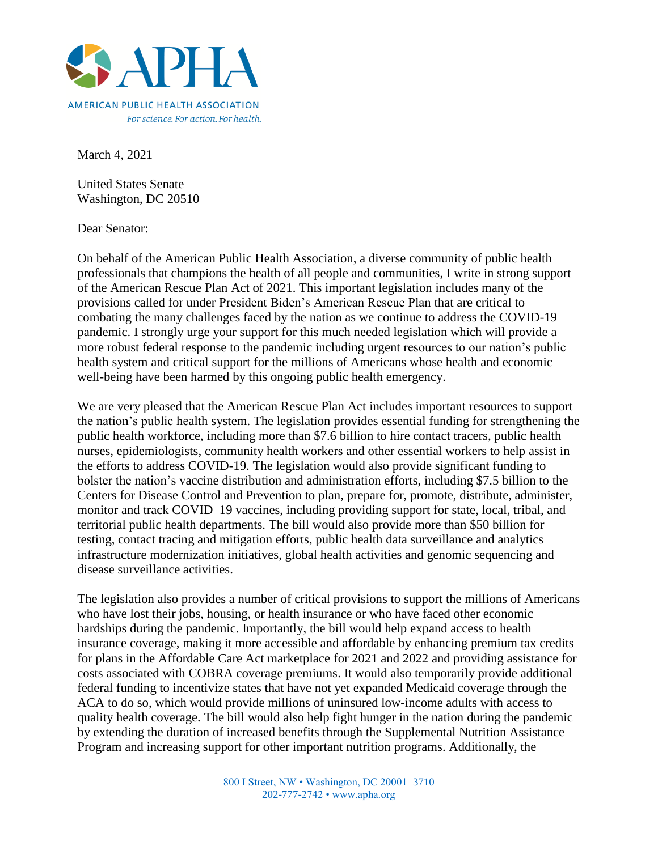

March 4, 2021

United States Senate Washington, DC 20510

Dear Senator:

On behalf of the American Public Health Association, a diverse community of public health professionals that champions the health of all people and communities, I write in strong support of the American Rescue Plan Act of 2021. This important legislation includes many of the provisions called for under President Biden's American Rescue Plan that are critical to combating the many challenges faced by the nation as we continue to address the COVID-19 pandemic. I strongly urge your support for this much needed legislation which will provide a more robust federal response to the pandemic including urgent resources to our nation's public health system and critical support for the millions of Americans whose health and economic well-being have been harmed by this ongoing public health emergency.

We are very pleased that the American Rescue Plan Act includes important resources to support the nation's public health system. The legislation provides essential funding for strengthening the public health workforce, including more than \$7.6 billion to hire contact tracers, public health nurses, epidemiologists, community health workers and other essential workers to help assist in the efforts to address COVID-19. The legislation would also provide significant funding to bolster the nation's vaccine distribution and administration efforts, including \$7.5 billion to the Centers for Disease Control and Prevention to plan, prepare for, promote, distribute, administer, monitor and track COVID–19 vaccines, including providing support for state, local, tribal, and territorial public health departments. The bill would also provide more than \$50 billion for testing, contact tracing and mitigation efforts, public health data surveillance and analytics infrastructure modernization initiatives, global health activities and genomic sequencing and disease surveillance activities.

The legislation also provides a number of critical provisions to support the millions of Americans who have lost their jobs, housing, or health insurance or who have faced other economic hardships during the pandemic. Importantly, the bill would help expand access to health insurance coverage, making it more accessible and affordable by enhancing premium tax credits for plans in the Affordable Care Act marketplace for 2021 and 2022 and providing assistance for costs associated with COBRA coverage premiums. It would also temporarily provide additional federal funding to incentivize states that have not yet expanded Medicaid coverage through the ACA to do so, which would provide millions of uninsured low-income adults with access to quality health coverage. The bill would also help fight hunger in the nation during the pandemic by extending the duration of increased benefits through the Supplemental Nutrition Assistance Program and increasing support for other important nutrition programs. Additionally, the